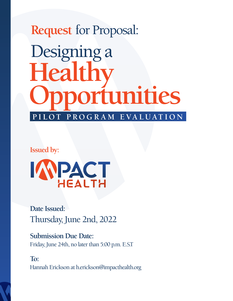# **Request** for Proposal: **PILOT PROGRAM EVALUATION Healthy Opportunities** Designing a

**Issued by:**



**Date Issued:** Thursday, June 2nd, 2022

**Submission Due Date:** Friday, June 24th, no later than 5:00 p.m. E.S.T

**To:** Hannah Erickson at h.erickson@impacthealth.org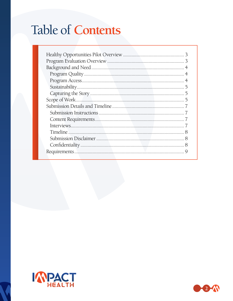## **Table of Contents**

| 5 |  |  |  |
|---|--|--|--|
|   |  |  |  |
|   |  |  |  |
|   |  |  |  |
|   |  |  |  |
|   |  |  |  |
|   |  |  |  |
|   |  |  |  |
|   |  |  |  |
|   |  |  |  |
|   |  |  |  |



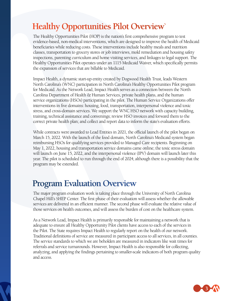## **Healthy Opportunities Pilot Overview`**

The Healthy Opportunities Pilot (HOP) is the nation's first comprehensive program to test evidence-based, non-medical interventions, which are designed to improve the health of Medicaid beneficiaries while reducing costs. These interventions include healthy meals and nutrition classes, transportation to grocery stores or job interviews, mold remediation and housing safety inspections, parenting curriculum and home visiting services, and linkages to legal support. The Healthy Opportunities Pilot operates under an 1115 Medicaid Waiver, which specifically permits the expansion of services that are billable to Medicaid.

Impact Health, a dynamic start-up entity created by Dogwood Health Trust, leads Western North Carolina's (WNC) participation in North Carolina's Healthy Opportunities Pilot program for Medicaid. As the Network Lead, Impact Health serves as a connection between the North Carolina Department of Health & Human Services, private health plans, and the human service organizations (HSOs) participating in the pilot. The Human Service Organizations offer interventions in five domains: housing, food, transportation, interpersonal violence and toxic stress, and cross-domain services. We support the WNC HSO network with capacity building, training, technical assistance and convenings; review HSO invoices and forward them to the correct private health plan; and collect and report data to inform the state's evaluation efforts.

While contracts were awarded to Lead Entities in 2021, the official launch of the pilot began on March 15, 2022. With the launch of the food domain, North Carolina's Medicaid system began reimbursing HSOs for qualifying services provided to Managed Care recipients. Beginning on May 1, 2022, housing and transportation service domains came online; the toxic stress domain will launch on June 15, 2022, and the interpersonal violence (IPV) domain will launch later this year. The pilot is scheduled to run through the end of 2024, although there is a possibility that the program may be extended.

### **Program Evaluation Overview**

The major program evaluation work is taking place through the University of North Carolina Chapel Hill's SHEP Center. The first phase of their evaluation will assess whether the allowable services are delivered in an efficient manner. The second phase will evaluate the relative value of those services on health outcomes, and will assess the burden of cost on the healthcare system.

As a Network Lead, Impact Health is primarily responsible for maintaining a network that is adequate to ensure all Healthy Opportunity Pilot clients have access to each of the services in the Pilot. The State requires Impact Health to regularly report on the health of our network. Traditional definitions of service are measured in participant access to all services, in all counties. The service standards to which we are beholden are measured in indicators like wait times for referrals and service turnarounds. However, Impact Health is also responsible for collecting, analyzing, and applying the findings pertaining to smaller-scale indicators of both program quality and access.

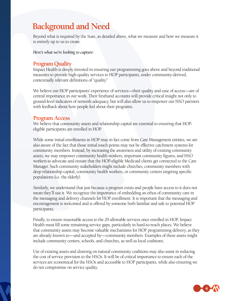## **Background and Need**

Beyond what is required by the State, as detailed above, what we measure and how we measure it is entirely up to us to create.

*Here's what we're looking to capture:*

#### **Program Quality**

Impact Health is deeply invested in ensuring our programming goes above and beyond traditional measures to provide high-quality services to HOP participants, under community-derived, contextually relevant definitions of "quality."

We believe our HOP participants' experience of services—their quality and ease of access—are of central importance in our work. Their firsthand accounts will provide critical insight not only to ground-level indicators of network adequacy, but will also allow us to empower our HSO partners with feedback about how people feel about their programs.

#### **Program Access**

We believe that community assets and relationship capital are essential to ensuring that HOPeligible participants are enrolled in HOP.

While some initial enrollments in HOP may in fact come from Care Management entities, we are also aware of the fact that those initial touch points may not be effective catchment systems for community members. Instead, by increasing the awareness and utility of existing community assets, we may empower community health workers, important community figures, and HSO workers to advocate and ensure that the HOP-eligible Medicaid clients get connected to the Care Manager. Such community stakeholders might include churches, community members with deep relationship capital, community health workers, or community centers targeting specific populations (i.e. the elderly).

Similarly, we understand that just because a program exists and people have access to it does not mean they'll use it. We recognize the importance of embedding an ethos of community care in the messaging and delivery channels for HOP enrollment. It is important that the messaging and encouragement is welcomed and is offered by someone both familiar and safe to potential HOP participants.

Finally, to ensure reasonable access to the 29 allowable services once enrolled in HOP, Impact Health must fill some remaining service gaps, particularly in hard-to-reach places. We believe that community assets may become valuable mechanisms for HOP programming delivery, as they are already known to—and accepted by—community members. Examples of these assets might include community centers, schools, and churches, as well as local coalitions.

Use of existing assets and drawing on natural community coalitions may also assist in reducing the cost of service provision to the HSOs. It will be of critical importance to ensure each of the services are economical for the HSOs and accessible to HOP participants, while also ensuring we do not compromise on service quality.

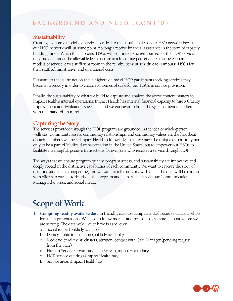#### **BACKGROUND AND NEED (CONT'D)**

#### **Sustainability**

Creating economic models of service is critical to the sustainability of our HSO network because our HSO network will, at some point, no longer receive financial assistance in the form of capacity building funds. When this happens, HSOs will continue to be reimbursed for the HOP services they provide under the allowable fee structure at a fixed rate per service. Creating economic models of service leaves sufficient room in the reimbursement schedule to reimburse HSOs for their staff, administrative, and operational costs.

Pursuant to that is the notion that a higher volume of HOP participants seeking services may become necessary in order to create economies of scale for our HSOs in service provision.

Finally, the sustainability of what we build to capture and analyze the above content matters to Impact Health's internal operations: Impact Health has internal financial capacity to hire a Quality Improvement and Evaluation Specialist, and we endeavor to build the systems mentioned here with that hand-off in mind.

#### **Capturing the Story**

The services provided through the HOP program are grounded in the idea of whole-person wellness. Community assets, community relationships, and community values are the heartbeat of each member's wellness. Impact Health acknowledges that we have the unique opportunity not only to be a part of Medicaid transformation in the United States, but to empower our HSOs to facilitate meaningful, positive transactions for everyone who receives a service through HOP.

The ways that we ensure program quality, program access, and sustainability are innovative and deeply rooted in the distinctive capabilities of each community. We want to capture the story of this innovation as it's happening, and we want to tell that story with data. The data will be coupled with efforts to curate stories about the program and its participants via our Communications Manager, the press, and social media.

## **Scope of Work**

- **1. Compiling readily available data** in friendly, easy-to-manipulate dashboards / data snapshots for use in presentations. We need to know more—and be able to say more—about whom we are serving. The data we'd like to have is as follows:
	- a. Social issues (publicly available)
	- b. Demographic information (publicly available)
	- c. Medicaid enrollment; clusters, attrition, contact with Care Manager (pending request from the State)
	- d. Human Service Organizations in WNC (Impact Health has)
	- e. HOP service offerings (Impact Health has)
	- f. Service areas (Impact Health has)

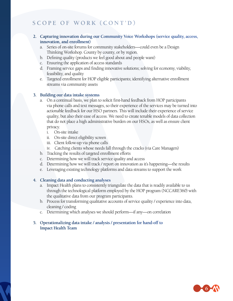#### **SCOPE OF WORK (CONT'D)**

#### **2. Capturing innovation during our Community Voice Workshops (service quality, access, innovation, and enrollment)**

- a. Series of on-site forums for community stakeholders—could even be a Design Thinking Workshop. County by county, or by region.
- b. Defining quality (products we feel good about and people want)
- c. Ensuring the application of access standards
- d. Framing service gaps and finding innovative solutions; solving for economy, viability, feasibility, and quality
- e. Targeted enrollment for HOP eligible participants; identifying alternative enrollment streams via community assets

#### **3. Building our data intake systems**

- a. On a continual basis, we plan to solicit first-hand feedback from HOP participants via phone calls and text messages, so their experience of the services may be turned into actionable feedback for our HSO partners. This will include their experience of service quality, but also their ease of access. We need to create tenable models of data collection that do not place a high administrative burden on our HSOs, as well as ensure client privacy.
	- i. On-site intake
	- ii. On-site direct eligibility screen
	- iii. Client follow-up via phone calls
	- iv. Catching clients whose needs fall through the cracks (via Care Managers)
- b. Tracking the results of targeted enrollment efforts
- c. Determining how we will track service quality and access
- d. Determining how we will track / report on innovation as it's happening—the results
- e. Leveraging existing technology platforms and data streams to support the work

#### **4. Cleaning data and conducting analyses**

- a. Impact Health plans to consistently triangulate the data that is readily available to us through the technological platform employed by the HOP program (NCCARE360) with the qualitative data from our program participants.
- b. Process for transforming qualitative accounts of service quality / experience into data, cleaning / coding
- c. Determining which analyses we should perform—if any—on correlation

#### **5. Operationalizing data intake / analysis / presentation for hand-off to Impact Health Team**

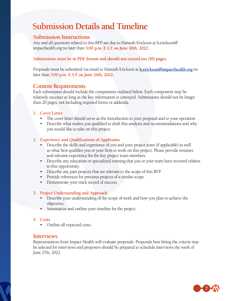## **Submission Details and Timeline**

#### **Submission Instructions**

Any and all questions related to this RFP are due to Hannah Erickson at h.erickson@ impacthealth.org no later than **5:00 p.m. E.S.T on June 10th, 2022.**

#### **Submissions must be in PDF format and should not exceed ten (10) pages.**

Proposals must be submitted via email to Hannah Erickson at **[h.erickson@impacthealth.org](mailto:h.erickson@impacthealth.org)** no later than **5:00 p.m. E.S.T on June 24th, 2022.**

#### **Content Requirements**

Each submission should include the components outlined below. Each component may be relatively succinct as long as the key information is conveyed. Submissions should not be longer than 20 pages, not including required forms or addenda.

#### **1. Cover Letter**

- The cover letter should serve as the introduction to your proposal and to your operation.
- Describe what makes you qualified to draft this analysis and recommendations and why you would like to take on this project.

#### **2. Experience and Qualifications of Applicants**

- Describe the skills and experience of you and your project team (if applicable) as well as what best qualifies you or your firm to work on this project. Please provide resumes and relevant experience for the key project team members.
- Describe any education or specialized training that you or your team have received relative to this opportunity.
- Describe any past projects that are relevant to the scope of this RFP.
- Provide references for previous projects of a similar scope.
- Demonstrate your track record of success.

#### **3. Project Understanding and Approach**

- Describe your understanding of the scope of work and how you plan to achieve the objectives.
- Summarize and outline your timeline for the project.

#### **4. Costs**

• Outline all expected costs.

#### **Interviews**

Representatives from Impact Health will evaluate proposals. Proposals best fitting the criteria may be selected for interviews and proposers should be prepared to schedule interviews the week of June 27th, 2022.

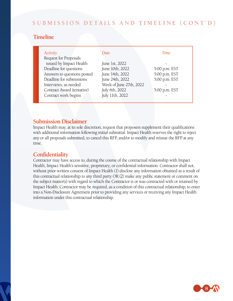#### **SUBMISSION DETAILS AND TIMELINE (CONT'D)**

#### **Timeline**

| Activity                    | <i>Date</i>             | <b>Time</b>   |
|-----------------------------|-------------------------|---------------|
| Request for Proposals       |                         |               |
| issued by Impact Health     | June 1st, 2022          |               |
| Deadline for questions      | June 10th, 2022         | 5:00 p.m. EST |
| Answers to questions posted | June 14th, 2022         | 5:00 p.m. EST |
| Deadline for submissions    | June 24th, 2022         | 5:00 p.m. EST |
| Interviews, as needed       | Week of June 27th, 2022 |               |
| Contract Award (tentative)  | July 6th, 2022          | 5:00 p.m. EST |
| Contract work begins        | July 11th, 2022         |               |
|                             |                         |               |

#### **Submission Disclaimer**

Impact Health may, at its sole discretion, request that proposers supplement their qualifications with additional information following initial submittal. Impact Health reserves the right to reject any or all proposals submitted, to cancel this RFP, and/or to modify and reissue the RFP at any time.

#### **Confidentiality**

Contractor may have access to, during the course of the contractual relationship with Impact Health, Impact Health's sensitive, proprietary, or confidential information. Contractor shall not, without prior written consent of Impact Health (1) disclose any information obtained as a result of this contractual relationship to any third party OR (2) make any public statement or comment on the subject matter(s) with regard to which the Contractor is or was contracted with or retained by Impact Health. Contractor may be required, as a condition of this contractual relationship, to enter into a Non-Disclosure Agreement prior to providing any services or receiving any Impact Health information under this contractual relationship.